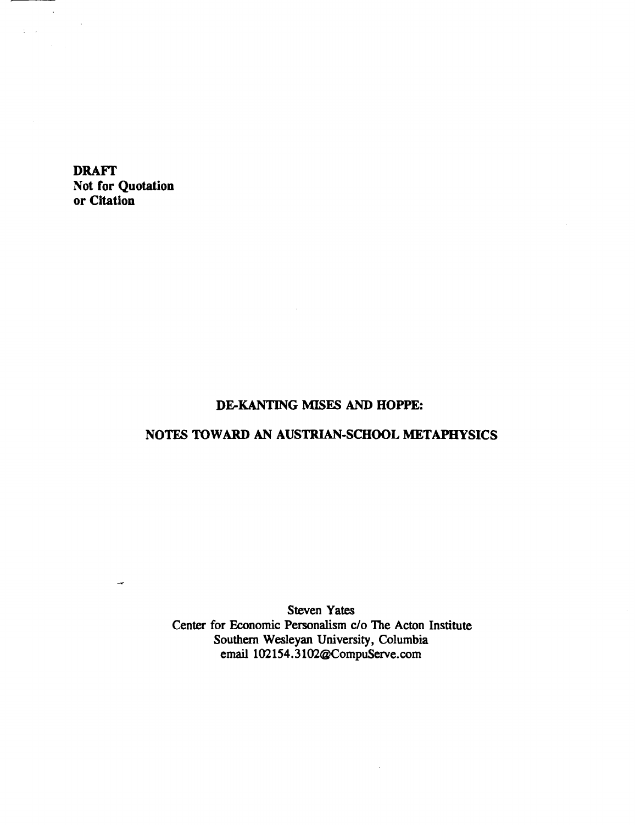**DRAFI' Not for Quotation or Citation** 

 $\rightarrow$ 

 $\sim$ 

 $\frac{1}{2} \left( \frac{1}{2} \right)^{2}$  ,  $\frac{1}{2} \left( \frac{1}{2} \right)^{2}$ 

# **DEKANTING MISES AND HOPPE:**

# **NOTES TO WARD AN AUSTRIAN-SCHOOL METAPHYSICS**

**Steven Yates** Center for Economic Personalism c/o The Acton Institute Southern **Wesleyan** University, Columbia email 102154.3102@CompuServe.com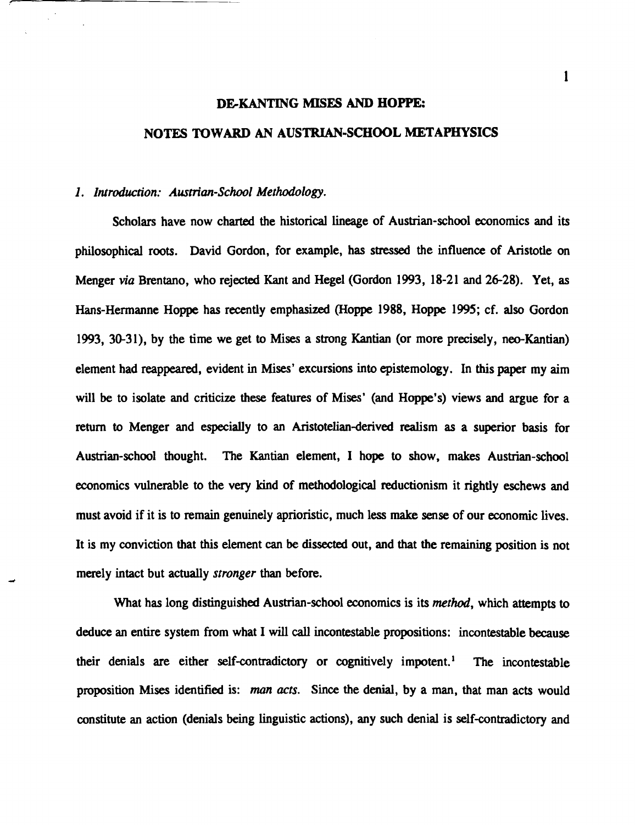# **DEKANTING MISES AND HOPPE: NOTES TOWARD AN AUSTRIAN-SCHOOL METAPHYSICS**

## 1. Introduction: Austrian-School Methodology.

Scholars have now charted the historical lineage of Austrian-school economics and its philosophical roots. David Gordon, for example, has stressed the influence of Aristotle on Menger **via** Brentano, who rejected Kant and Hegel (Gordon 1993, 18-2 1 and 26-28). Yet, as Hans-Hermanne Hoppe has recently emphasized (Hoppe 1988, Hoppe 1995; cf. also Gordon 1993, 30-31), by the time we get to Mises a strong Kantian (or more precisely, neo-Kantian) element had reappeared, evident in Mises' excursions into epistemology. In this paper my aim will be to isolate and criticize these features of Mises' (and Hoppe's) views and argue for a return to Menger and especially to an Aristotelian-derived realism as a superior basis for Austrian-school thought. The Kantian element, I hope to show, makes Austrian-school economics vulnerable to the very kind of methodological reductionism it rightly eschews and must avoid if it is to remain genuinely aprioristic, much less make sense of our economic lives. It is my conviction that this element can be dissected out, and that the remaining position is not merely intact but actually stronger than before.

What has long distinguished Austrian-school economics is its *method*, which attempts to deduce an entire system from what I will call incontestable propositions: incontestable because their denials are either self-contradictory or cognitively impotent.' The incontestable proposition **Mises** identified is: man acts. Since the denial, by a **man,** that man acts would constitute an action (denials being linguistic actions), any such denial is self-contradictory and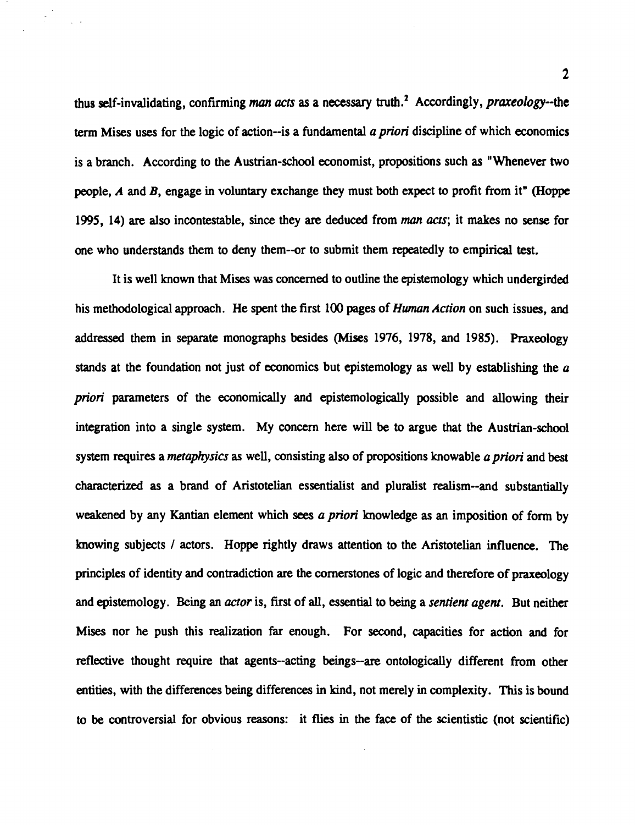thus self-invalidating , confirming man **acts** as a necessary truth.' Accordingly, *prareology-the*  **term** Mises uses for the logic of action-is a fundamental *a priori* discipline of which economics is a branch. According to the Austrian-school economist, propositions such as "Whenever two people, *A* and B, engage in voluntary exchange they must both expect to profit from it" **(Hoppe**  1995, 14) are also incontestable, since they are deduced from man *acts;* it makes no sense for one who understands them to deny them-or to submit them repeatedly to empirical test.

It is well known that Mises was concerned to outline the epistemology which undergirded his methodological approach. He spent the first 100 pages of *Hwnan Action* on such issues, and addressed them in separate monographs besides (Mises 1976, 1978, and 1985). Praxeology stands at the foundation not just of economics but epistemology as well by establishing the *a priori* parameters of the economically and epistemologically possible and allowing their integration into a single system. My concern here will be to argue that the Austrian-school system requires a *metaphysics* as well, consisting also of propositions knowable *a priori* and best characterized as a brand of Aristotelian essentialist and pluralist realism--and substantially weakened by any Kantian element which **sees** *a priori* knowledge as an imposition of form by knowing subjects / actors. Hoppe rightly draws attention to the Aristotelian influence. The principles of identity and contradiction are the cornerstones of logic and therefore of praxeology and epistemology. Being an *actor* is, first of all, essential to being a *sentient agent.* But neither Mises nor he push this realization far enough. For second, capacities for action and for reflective thought require that agents--acting beings--are ontologically different from other entities, with the differences being differences in kind, not merely in complexity. This is bound to be controversial for obvious reasons: it **flies** in the face of the scientistic (not scientific)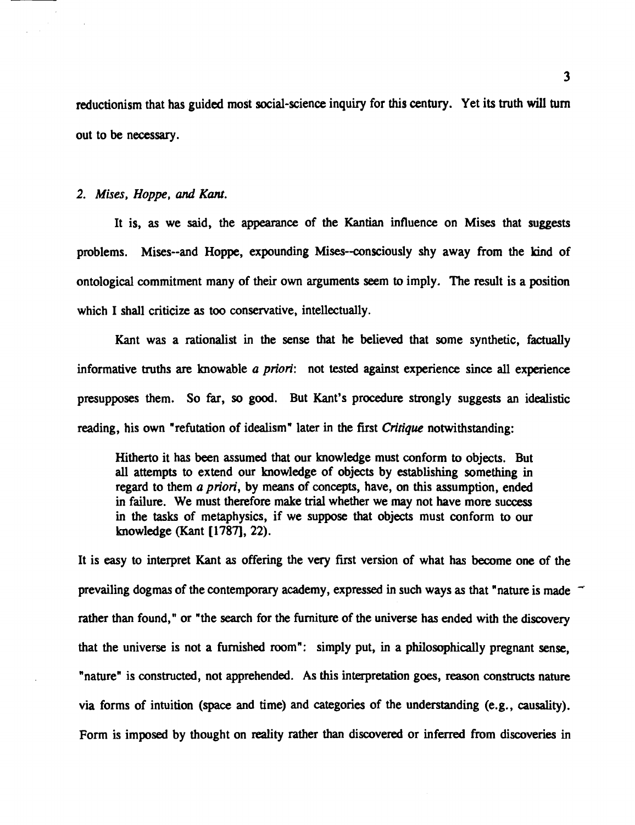reductionism that has guided most social-science inquiry for this century. Yet its truth will turn out to be necessary.

# 2. Mises, Hoppe, and Kant.

It is, as we said, the appearance of the **Kantian** influence on Mises that suggests problems. Mises--and Hoppe, expounding Mises--consciously shy away from the kind of ontological commitment many of their own arguments seem to imply. The result is a position which I shall criticize as too conservative, intellectually.

Kant was a rationalist in the sense that he believed that some synthetic, factually informative truths are knowable a priori: not **tested** against experience since all experience presupposes them. So far, so good. But Kant's procedure strongly suggests an idealistic reading, his own "refutation of idealism" later in the first *Critique* notwithstanding:

Hitherto it has been assumed that our knowledge must conform to objects. But all attempts to extend our knowledge of objects by establishing something in regard to them a priori, by means of concepts, have, on this assumption, ended in failure. We must therefore make trial whether we may not have more success in the **tasks** of metaphysics, if we suppose that objects must conform to our knowledge (Kant **[1787],** 22).

It is easy to interpret Kant as offering the very first version of what has become one of the It is easy to interpret Kant as offering the very first version of what has become one of the<br>prevailing dogmas of the contemporary academy, expressed in such ways as that "nature is made " rather than found," or "the search for the furniture of the universe has ended with the discovery that the universe is not a furnished room": simply put, in a philosophically pregnant sense, "nature" is constructed, not apprehended. As this interpretation goes, reason constructs nature via forms of intuition (space and time) and categories of the understanding (e.g., causality). Form is imposed by thought on reality rather than discovered or inferred from discoveries in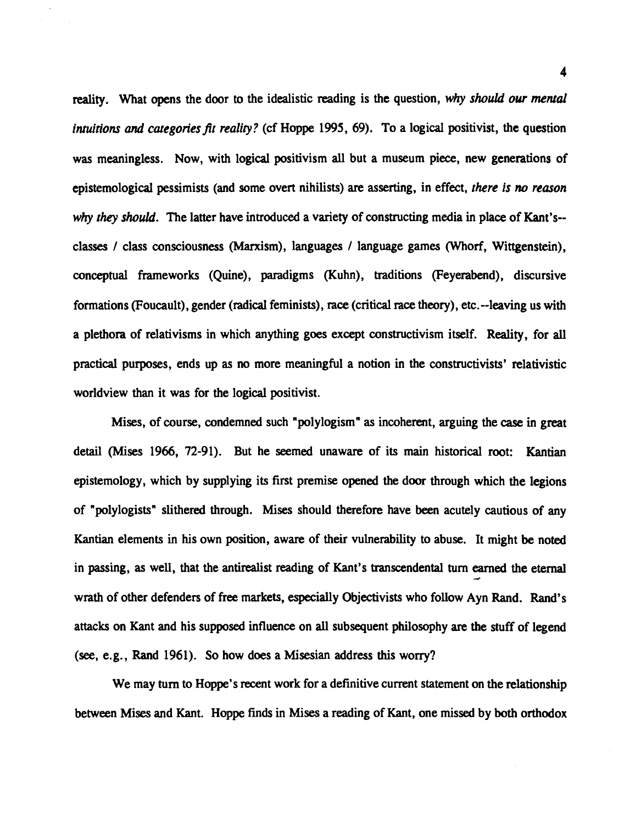reality. What opens the door to the idealistic reading is the question, *why should our merual intuitions and categories fit reality?* (cf Hoppe 1995, 69). To a logical positivist, the question was meaningless. Now, with logical positivism all but a museum piece, new generations of epistemological pessimists (and some overt nihilists) are asserting, in effect, *there is* no *reason why they should.* The latter have introduced a variety of constructing media in place of Kant's- classes / class consciousness (Marxism), languages / language games (Whorf, Wittgenstein), conceptual frameworks (Quine), paradigms (Kuhn), traditions (Feyerabend), discursive formations (Foucault), gender (radical feminists), race (critical race theory), etc.--leaving us with a plethora of relativisms in which anything goes except constructivism itself. Reality, for all practical purposes, ends up as no more meaningful a notion in the constructivists' relativistic worldview than it was for the logical positivist.

Mises, of course, condemned such "polylogism" as incoherent, arguing the **case** in great detail (Mises 1966, 72-91). But he seemed unaware of its main historical root: Kantian epistemology, which by supplying its first premise opened the door through which the legions of "polylogists" slithered through. Mises should therefore have been acutely cautious of any Kantian elements in his own position, aware of their vulnerability to abuse. It might be noted in passing, as well, that the antirealist reading of Kant's transcendental turn earned the eternal **<sup>d</sup>** wrath of other defenders of **free** markets, especially Objectivists who follow Ayn Rand. Rand's attacks on Kant and his supposed influence on all subsequent philosophy are the stuff of legend **(see,** e.g., Rand 1961). So how does a Misesian address this worry?

We may turn to Hoppe's recent work for a definitive current statement on the relationship between Mises and Kant. Hoppe finds in Mises a reading of Kant, one missed by both orthodox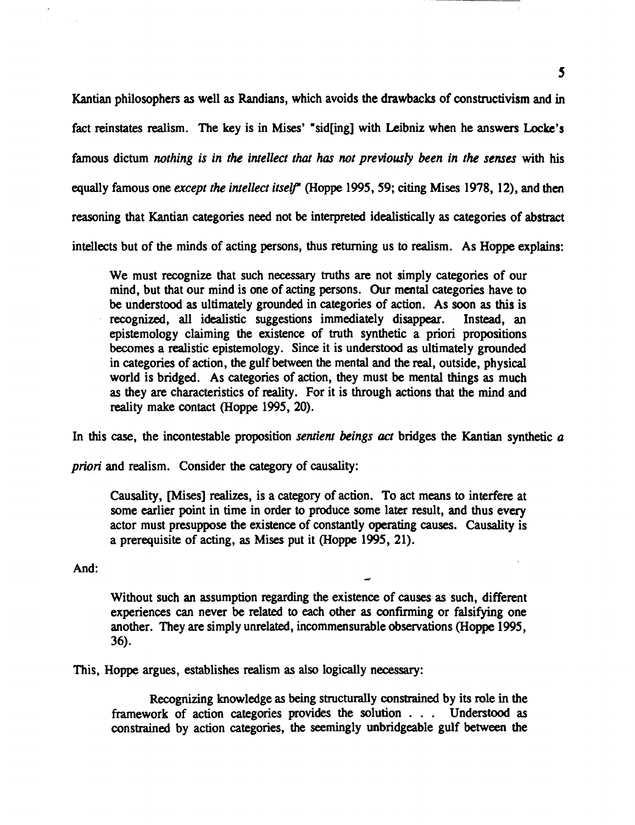Kantian philosophers as well as Randians, which avoids the drawbacks of constructivism and in fact reinstates realism. The key is in **Mises'** "sid[ing] with Leibniz when he answers **Locke's**  famous dictum *nothing is in the intellect that has not previously been in the senses* with his equally famous one *except the intellect itself\** (Hoppe 1995,59; citing Mises 1978, 12), and then reasoning that Kantian categories need not be interpreted idealistically as categories of abstract intellects but of the minds of acting persons, thus returning us to realism. As Hoppe explains:

We must recognize that such necessary truths are not simply categories of our mind, but that our mind is one of acting persons. Our mental categories have to be understood as ultimately grounded in categories of action. As soon as this is recognized, **all** idealistic suggestions immediately disappear. Instead, an epistemology claiming the existence of truth synthetic a priori propositions becomes a realistic epistemology. Since it is understood as ultimately grounded in categories of action, the gulf between the mental and the real, outside, physical world is bridged. As categories of action, they must be mental things as much as they are characteristics of reality. For it is through actions that the mind and reality make contact (Hoppe 1995, 20).

In this case, the incontestable proposition *sentient beings act* bridges the Kantian synthetic a

*priori* and realism. Consider the category of causality:

Causality, [Mises] realizes, is a category of action. To act means to interfere at some earlier point in time in order to produce some later result, and thus every actor must presuppose the existence of constantly operating causes. Causality is a prerequisite of acting, as **Mises** put it (Hoppe 1995, 21).

And: **<sup>e</sup>**

Without such an assumption regarding the existence of causes as such, different experiences can never be related to each other as confirming or falsifying one another. They are simply unrelated, incommensurable observations (Hoppe 1995, 36).

This, Hoppe argues, establishes realism **as** also logically necessary:

Recognizing knowledge **as** being structurally constrained by its role in the framework of action categories provides the solution . . . Understood as constrained by action categories, the seemingly unbridgeable gulf between the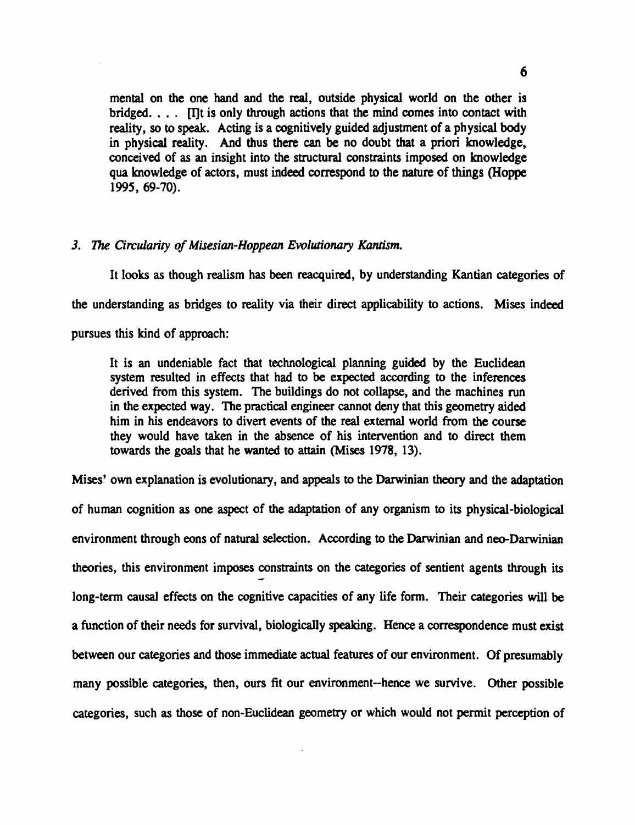mental on the one hand and the real, outside physical world on the other is bridged.  $\ldots$  Int is only through actions that the mind comes into contact with reality, so to speak. Acting is a cognitively guided adjustment of a physical body in physical reality. And thus there **can** be no doubt that a priori knowledge, conceived of as an insight into the structural constraints imposed on knowledge qua knowledge of actors, must indeed conespond to the nature of things **(Hoppe**  1995, 69-70).

# **3. The Circularity of Misesian-Hoppean Evolutionary** *Kam'sm.*

It looks as though realism has been reacquired, by understanding Kantian categories of

the understanding as bridges to reality via their direct applicability to actions. Mises indeed

pursues this kind of approach:

It is an undeniable fact that technological planning guided by the Euclidean system resulted in effects that had to be expected according to the inferences derived from this system. The buildings do not collapse, and the machines run in the expected way. The practical engineer cannot deny that this geometry aided him in his endeavors to divert events of the real external world from the course they would have taken in the absence of his intervention and to direct them towards the goals that he wanted to attain (Mises 1978, 13).

Mises' own explanation is evolutionary, and appeals to the Darwinian theory and the adaptation of human cognition as one aspect of the adaptation of any organism to its physical-biological environment through eons of natural selection. According to the Darwinian and neo-Darwinian theories, this environment imposes constraints on the categories of sentient agents through its **<sup>d</sup>** long-term causal effects on the cognitive capacities of any life form. Their categories will be a function of their needs for survival, biologically speakmg. **Hence** a correspondence must exist between our categories and those immediate **actual** features of our environment. Of presumably many possible categories, then, ours fit our environment--hence we survive. Other possible categories, such **as** those of non-Euclidean geometry or which would not permit perception of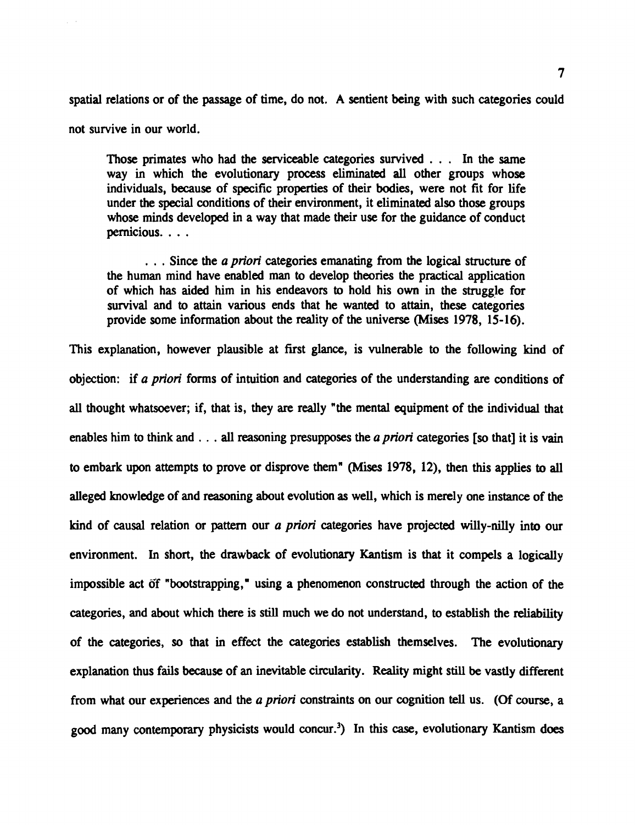spatial relations or of the passage of time, do not. **A** sentient being with such categories could

not survive in our world.

Those primates who had the serviceable categories survived . . . In the same way in which the evolutionary process eliminated **all** other groups whose individuals, because of specific properties of their bodies, were not fit for life under the special conditions of their environment, it eliminated also those groups whose minds developed in a way that made their use for the guidance of conduct pernicious. . . .

. . . Since the a *priori* categories emanating from the logical structure of the human mind have enabled man to develop theories the practical application of which has aided him in his endeavors to hold his own in the struggle for survival and to attain various ends that he wanted to attain, these categories provide some information about the reality of the universe **(Mises** 1978, 15-16).

This explanation, however plausible at first glance, is vulnerable to the following kind of objection: if a *priori* forms of intuition and categories of the understanding are conditions of **all** thought whatsoever; if, that is, they are really "the mental equipment of the individual that enables him to think and . . . **all** reasoning presupposes the a *priori* categories [so that] it is vain to embark upon attempts to prove or disprove them" **(Mises** 1978, 12), then this applies to **all**  alleged knowledge of and reasoning about evolution as well, which is merely one instance of the kind of causal relation or pattern our a *priori* categories have projected willy-nilly into our environment. In short, the drawback of evolutionary Kantism is that it compels a logically impossible act 6f "bootstrapping," using a phenomenon constructed through the action of the categories, and about which there is still much we do not understand, to establish the reliability of the categories, so that in effect the categories establish themselves. The evolutionary explanation thus fails because of an inevitable circularity. Reality might still be vastly different from what our experiences and the a *priori* constraints on our cognition **tell** us. (Of course, a good many contemporary physicists would concur.<sup>3</sup>) In this case, evolutionary Kantism does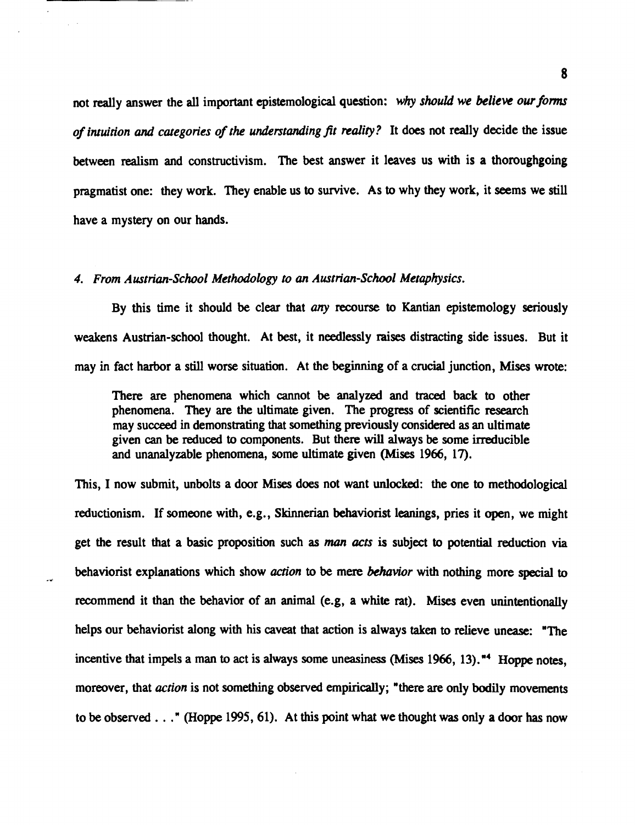not really answer the all important epistemological question: *why should we believe our forms of intuition and categories of the understanding fit reality?* It does not really decide the issue between realism and constructivism. The best answer it leaves us with is a thoroughgoing pragmatist one: they work. They enable us to survive. As to why they work, it seems we still have a mystery on our hands.

#### *4. From Austrian-School Methodology to an Austrian-School Metaphysics.*

By this time it should be clear that *any* recourse to Kantian epistemology seriously weakens Austrian-school thought. At best, it needlessly **raises** distracting side issues. But it may in fact harbor a still worse situation. At the beginning of a crucial junction, **Mises** wrote:

There are phenomena which cannot be analyzed and traced back to other phenomena. They **are** the ultimate given. The progress of scientific research may succeed in demonstrating that something previously considered as an ultimate given can be reduced to components. But there will always be some irreducible and unanalyzable phenomena, some ultimate given **(Mises** 1966, 17).

This, I now submit, unbolts a door **Mises** does not want **unlocked:** the one to methodological reductionism. If someone with, e.g., Skinnerian behaviorist leanings, pries it open, we might get the result that a basic proposition such as man **acts** is subject to potential reduction via behaviorist explanations which show *aczion* to be mere *behavior* with nothing more special to recommend it than the behavior of an animal (e.g, a white rat). **Mises** even unintentionally helps our behaviorist along with his caveat that action is always **taken** to relieve unease: "The incentive that impels a man to act is always some uneasiness **(Mises** 1966, **13)."' Hoppe** notes, moreover, that *action* is not something observed empirically; "there **are** only bodily movements to be observed . . ." (Hoppe 1995, 61). At this point what we thought was only a door has now

8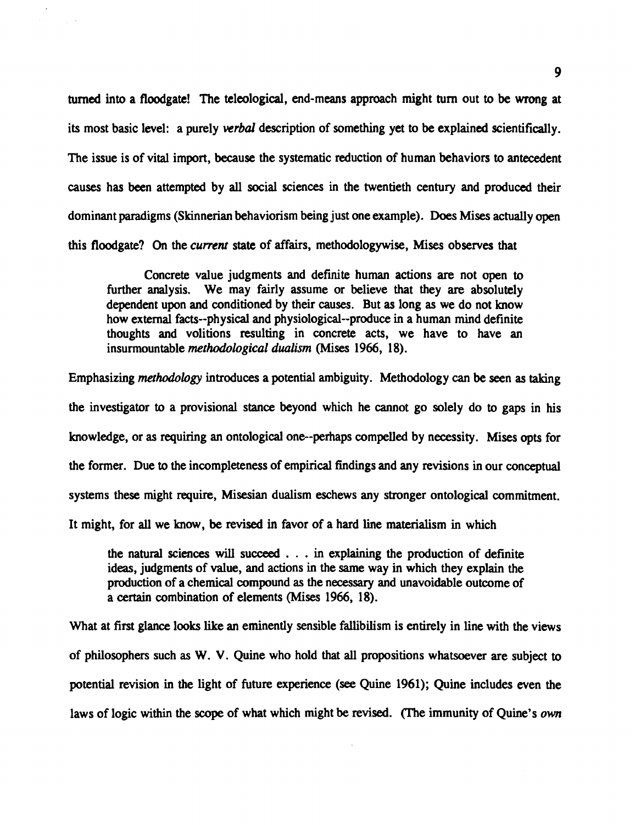turned into a floodgate! The teleological, end-means approach might turn out to be wrong at its most basic level: a purely verbal description of something yet to be explained scientifically. The issue is of vital import, because the systematic reduction of human behaviors to antecedent causes has **been** attempted by **all** social sciences in the twentieth century and produced their dominant paradigms (Skinnerian behaviorism being just one example). **Does** Mises actually open this floodgate? **On** the *current* state of affairs, methodologywise, Mises observes that

Concrete value judgments and definite human actions **are** not open to further analysis. We may fairly assume or believe that they **are** absolutely dependent upon and conditioned by their causes. But as long as we do not know how external facts--physical and physiological--produce in a human mind definite thoughts and volitions resulting in concrete acts, we have to have an insurmountable *methodological dualism* (Mises 1966, 18).

Emphasizing methodology introduces a potential ambiguity. Methodology **can** be seen as taking the investigator to a provisional stance beyond which he cannot go solely do to gaps in his knowledge, or as requiring an ontological one--perhaps compelled by necessity. Mises opts for the former. Due to the incompleteness of empirical findings and any revisions in our conceptual systems these might require, Misesian dualism eschews any stronger ontological commitment. It might, for **all** we know, be revised in favor of a hard line materialism in which

the natural sciences will succeed . . . in explaining the production of definite ideas, judgments of value, and actions in the same way in which they explain the production of a chemical compound as the necessary and unavoidable outcome of a certain combination of elements (Mises 1966, 18).

What at first glance looks like an eminently sensible fallibilism is entirely in line with the views of philosophers such as W. V. Quine who hold that **all** propositions whatsoever are subject to potential revision in the light of future experience (see Quine 1961); Quine includes even the laws of logic within the scope of what which might be revised. (The immunity of Quine's *own*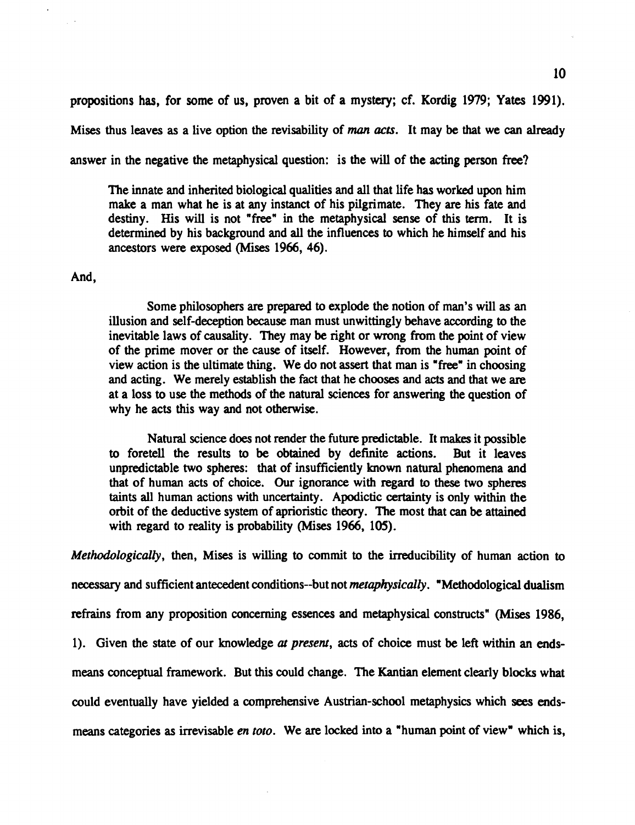propositions **has,** for some of us, proven a bit of a mystery; cf. Kordig 1979; Yates 1991).

Mises thus leaves as a live option the revisability of man **ucts.** It may be that we can already

answer in the negative the metaphysical question: is the will of the acting person free?

The innate and inherited biological qualities and all that life has worked upon him make a man what he is at any instanct of his pilgrimate. They are his fate and destiny. His will is not "free" in the metaphysical sense of this term. It is determined by his background and **all** the influences to which he himself and his ancestors were exposed (Mises 1966,46).

#### And,

Some philosophers are prepared to explode the notion of man's will as an illusion and self-deception because man must unwittingly behave according to the inevitable laws of causality. They may be right or wrong from the point of view of the prime mover or the cause of itself. However, from the human point of view action is the ultimate thing. We do not assert that man is "free" in choosing and acting. We merely establish the Edct that he chooses and **acts** and that we are at a loss to use the methods of the natural sciences for answering the question of why he acts this way and not otherwise.

Natural science does not render the future predictable. It **makes** it possible to foretell the results to be obtained by definite actions. But it leaves unpredictable two spheres: that of insufficiently known natural phenomena and that of human acts of choice. Our ignorance with regard to these two spheres taints **all** human actions with uncertainty. Apodictic certainty is only within the orbit of the deductive system of aprioristic theory. The most that can be attained with regard to reality is probability (Mises 1966, 105).

Methodologically, then, Mises is willing to commit to the irreducibility of human action to

necessary and sufficient antecedent conditions--but not *metaphysically*. "Methodological dualism

refrains from any proposition concerning essences and metaphysical constructs" (Mises 1986,

1). Given the state of our knowledge **uf** present, **acts** of choice must be left within an ends-

means conceptual framework. But this could change. The Kantian element clearly blocks what

could eventually have yielded a comprehensive Austrian-school metaphysics which **sees** ends-

means categories as irrevisable *en toto*. We are locked into a "human point of view" which is,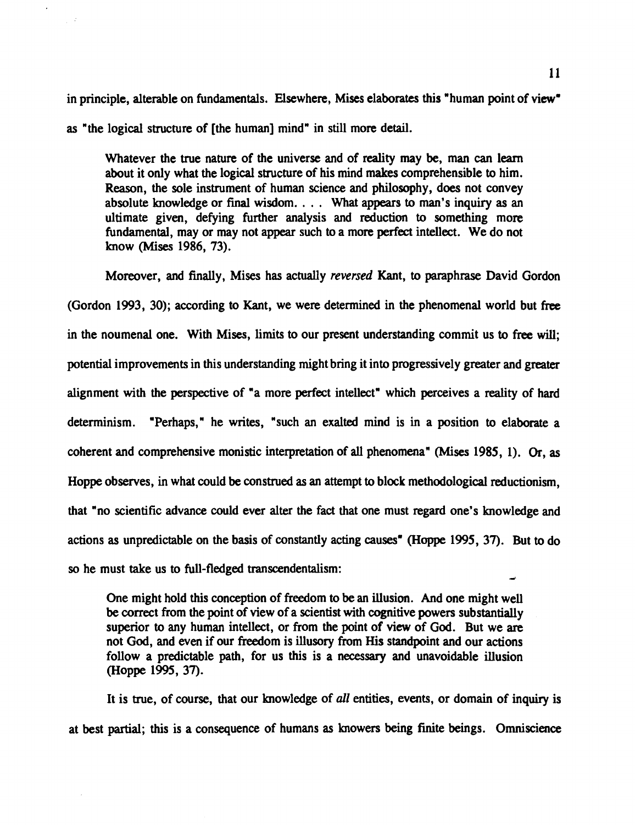in principle, alterable on fundamentals. Elsewhere, Mises elaborates this "human point of **view" as** "the logical structure of [the human] mind" in still more detail.

Whatever the true nature of the universe and of reality may be, man can learn about it only what the logical structure of his mind makes comprehensible to him. Reason, the sole instrument of human science and philosophy, does not convey absolute knowledge or final wisdom. . . . What appears to man's inquiry **as** an ultimate given, defying further analysis and reduction to something more fundamental, may or may not appear such to a more perfect intellect. We do not know (Mises 1986, 73).

Moreover, and finally, Mises has actually *reversed* Kant, to paraphrase David Gordon (Gordon 1993, 30); according to Kant, we were determined in the phenomenal world but free in the noumenal one. With Mises, limits to our present understanding commit us to free will; potential improvements in this understanding might bring it into progressively greater and greater alignment with the perspective of "a more perfect intellect" which perceives a reality of hard determinism. "Perhaps," he writes, "such an exalted mind is in a position to elaborate a coherent and comprehensive monistic interpretation of **all** phenomena" (Mises 1985, 1). Or, **as**  Hoppe observes, in what could be construed **as** an attempt to block methodological reductionism, that "no scientific advance could ever alter the fact that one must regard one's knowledge and actions as unpredictable on the basis of constantly acting causes" (Hoppe 1995, 37). But to do so he must take us to full-fledged transcendentalism:

One might hold this conception of freedom to be an illusion. And one might well be correct from the point of view of a scientist with cognitive powers substantially superior to any human intellect, or from the point of view of God. But we are not God, and even if our freedom is illusory from His standpoint and our actions follow a predictable path, for us this is a necessary and unavoidable illusion (Hoppe 1995, 37).

It is true, of course, that our knowledge of all entities, events, or domain of inquiry is at best partial; this is a consequence of humans **as** knowers being finite beings. **Omniscience**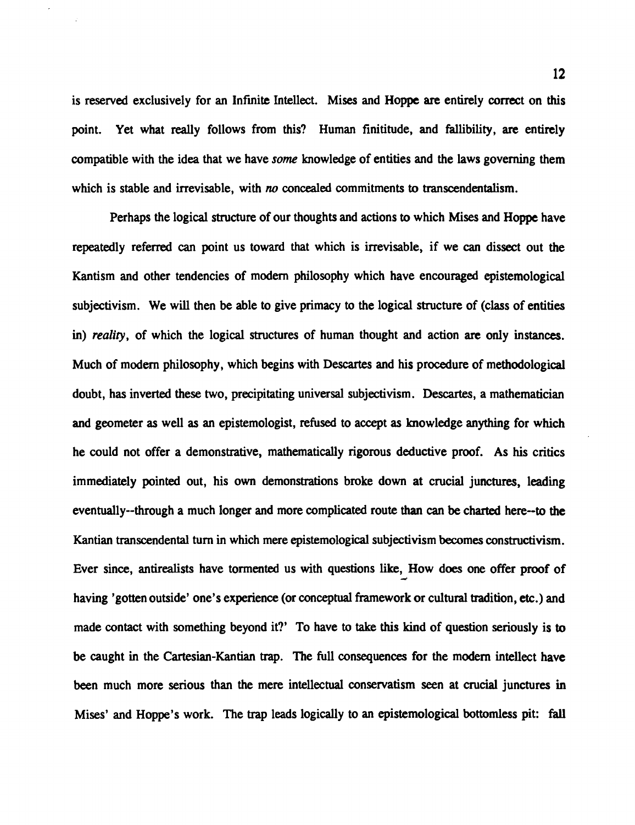is reserved exclusively for an Infinite Intellect. Mises and Hoppe are entirely correct on this point. Yet what really follows from this? Human finititude, and fallibility, **are** entirely compatible with the idea that we have *some* knowledge of entities and the laws governing them which is stable and irrevisable, with no concealed commitments to transcendentalism.

Perhaps the logical structure of our thoughts and actions to which Mises and Hoppe have repeatedly referred can point us toward that which is irrevisable, if we can dissect out the Kantism and other tendencies of modem philosophy which have encouraged epistemological subjectivism. We will then be able to give primacy to the logical structure of (class of entities in) reality, of which the logical structures of human thought and action **are** only instances. Much of modern philosophy, which begins with **Descartes** and his procedure of methodological doubt, has inverted these two, precipitating universal subjectivism. Descartes, a mathematician and geometer as well as an epistemologist, refused to accept as knowledge anything for which he could not offer a demonstrative, mathematically rigorous deductive proof. As his critics immediately pointed out, his own demonstrations broke down at crucial junctures, leading eventually--through a much longer and more complicated route than can be charted here--to the Kantian transcendental turn in which mere epistemological subjectivism becomes constructivism. Ever since, antirealists have tormented us with questions like, How does one offer proof of **<sup>d</sup>** having 'gotten outside' one's experience (or conceptual framework or cultural tradition, etc.) and made contact with something beyond it?' To have to take this kind of question seriously is to be caught in the Cartesian-Kantian trap. The **full** consequences for the modern intellect have been much more serious than the mere intellectual conservatism seen at crucial junctures in Mises' and Hoppe's work. The trap leads logically to an epistemological bottomless pit: fall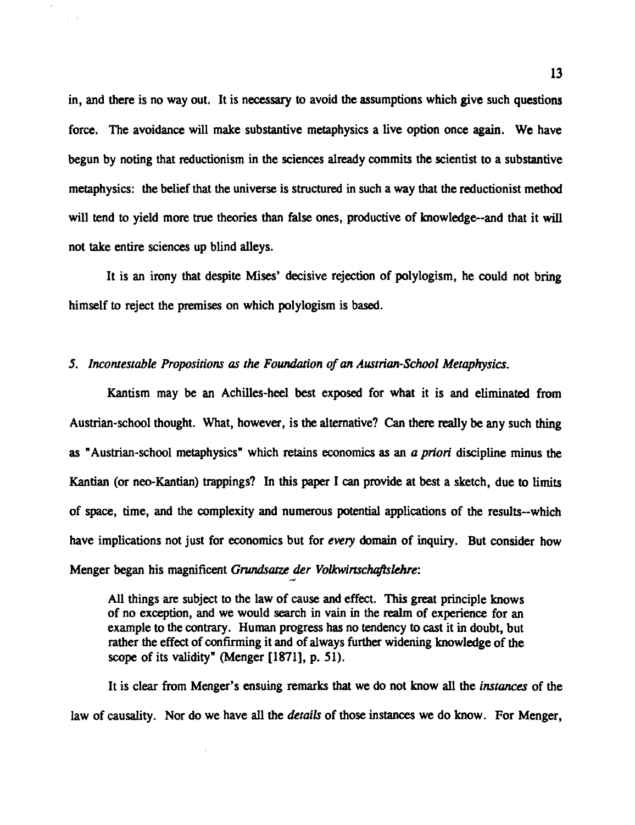in, and there is no way out. It is necessary to avoid the assumptions which give such questions force. The avoidance will make substantive metaphysics a live option once again. We have begun by noting that reductionism in the sciences already commits the scientist to a substantive metaphysics: the belief that the universe is structured in such a way that the reductionist method will tend to yield more true theories than false ones, productive of knowledge--and that it will not take entire sciences up blind alleys.

It is an irony that despite Mises' decisive rejection of polylogism, he could not bring himself to reject the premises on which polylogism is **based.** 

#### *5. Incontestable Propositions as the Fowrdation of an Austrian-School Metaphysia.*

Kantism may be an Achilles-heel best exposed for what it is and eliminated from Austrian-school thought. What, however, is the alternative? Can there really be any such thing as " Austrian-school metaphysics" which retains economics *as* an *a priori* discipline minus the Kantian (or neo-Kantian) trappings? In this paper I can provide at best a sketch, due to limits of space, time, and the complexity and numerous potential applications of the results-which have implications not just for economics but for every domain of inquiry. But consider how Menger began his magnificent *Grundsatze der Volkwirtschaftslehre:* 

**All** things are subject to the law of cause and effect. **This** great principle knows of no exception, and we would search in vain in the realm of experience for an example to the contrary. Human progress has no tendency to cast it in doubt, but rather the effect of confirming it and of always further widening knowledge of the scope of its validity" (Menger [1871], p. 51).

It is clear from Menger's ensuing remarks that we do not know all the *instances* of the law of causality. **Nor** do we have all the *&tails* of those instances we do know. For Menger,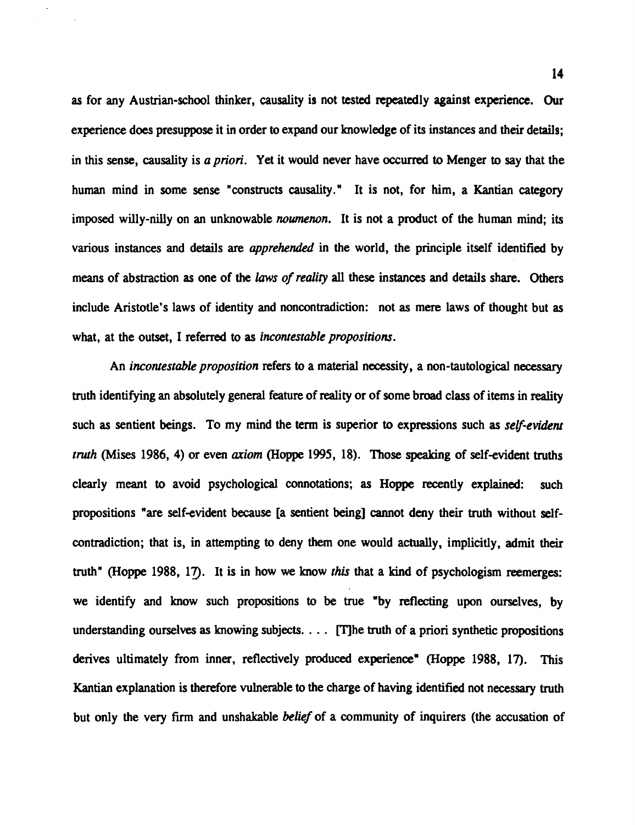**as** for any Austrian-school thinker, causality is not tested repeatedly against experience. Our experience does presuppose it in order to expand our knowledge of its instances and their details; in this sense, causality is *a priori.* Yet it would never have occurred to Menger to say that the human mind in some sense "constructs causality." It is not, for him, a Kantian category imposed willy-nilly on an unknowable *noumenon*. It is not a product of the human mind; its various instances and details are *apprehended* in the world, the principle itself identified by means of abstraction **as** one of the *laws of reality* **all** these instances and details share. Others include Aristotle's laws of identity and noncontradiction: not as mere laws of thought but **as**  what, at the outset, I referred to as *incontestable propositions.* 

An *incontestable proposition* refers *to* a material necessity, a non-tautological necessary truth identifying an absolutely general feature of reality or of some broad class of items in reality such as sentient beings. To my mind the term is superior to expressions such as *self-evident tnrth* (Mises 1986, *4)* or even *axiom* **(Hoppe** 1995, 18). Those spealang of self-evident truths clearly meant to avoid psychological connotations; as Hoppe recently explained: such propositions "are self-evident because [a sentient being] cannot deny their truth without selfcontradiction; that is, in attempting to deny them one would actually, implicitly, admit their truth" (Hoppe 1988, 17). It is in how we know *this* that a kind of psychologism reemerges: we identify and know such propositions to be true 'by reflecting upon ourselves, by understanding ourselves as knowing subjects.  $\ldots$  The truth of a priori synthetic propositions derives ultimately from inner, reflectively produced experience" (Hoppe 1988, 17). This Kantian explanation is therefore vulnerable to the charge of having identified not necessary truth but only the very firm and unshakable *belief* of a community of inquirers (the accusation of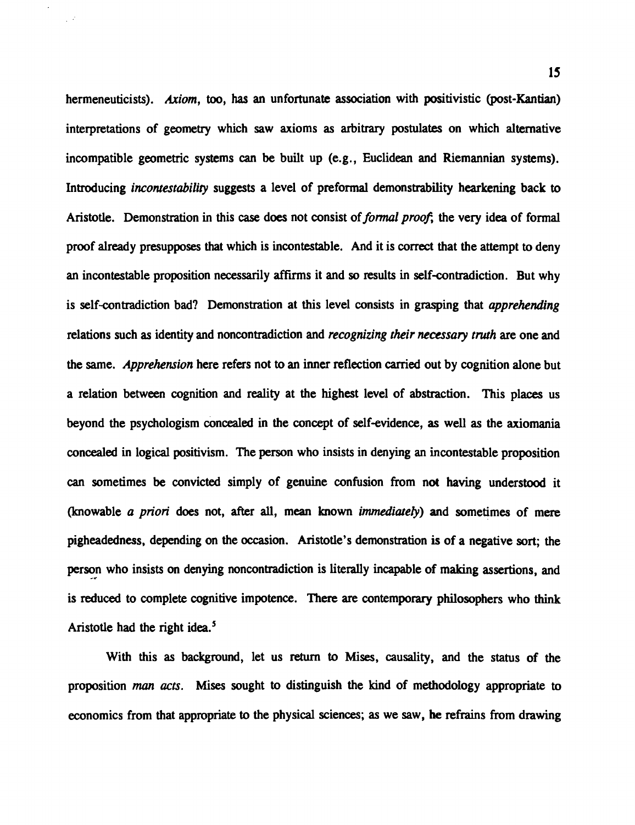hermeneuticists). Axiom, **too, has** an unfortunate association with positivistic (post-Kantian) interpretations of geometry which saw axioms as arbitrary postulates on which alternative incompatible geometric systems can be built up (e.g., Euclidean and Riemannian systems). Introducing *incontestability* suggests a level of preformal demonstrability hearkening back to Aristotle. Demonstration in this case does not consist of *formal proof*; the very idea of formal proof already presupposes that which is incontestable. And it is correct that the attempt to deny an incontestable proposition necessarily affirms it and so results in self-contradiction. But why is self-contradiction bad? Demonstration at this level consists in grasping that apprehending relations such as identity and noncontradiction and *recognizing their necessary truth* are one and the same. Apprehension here refers not to an inner reflection carried out by cognition alone but a relation between cognition and reality at the highest level of abstraction. This places us beyond the psychologism concealed in the concept of self-evidence, as well as the axiomania concealed in logical positivism. The person who insists in denying an incontestable proposition can sometimes be convicted simply of genuine confusion from not having understood it (knowable a priori does not, after **all,** mean known immedioteb) and sometimes of mere pigheadedness, depending on the occasion. Aristotle's demonstration is of a negative sort; the person who insists on denying noncontradiction is literally incapable of making assertions, and is reduced to complete cognitive impotence. There are contemporary philosophers who think Aristotle had the right idea. $5$ 

 $\mathcal{L}^{\mathcal{A}}$ 

With this as background, let us retum to Mises, causality, and the status of the proposition **man** acts. Mises sought to distinguish the kind of methodology appropriate to economics from that appropriate to the physical sciences; as we saw, he refrains from drawing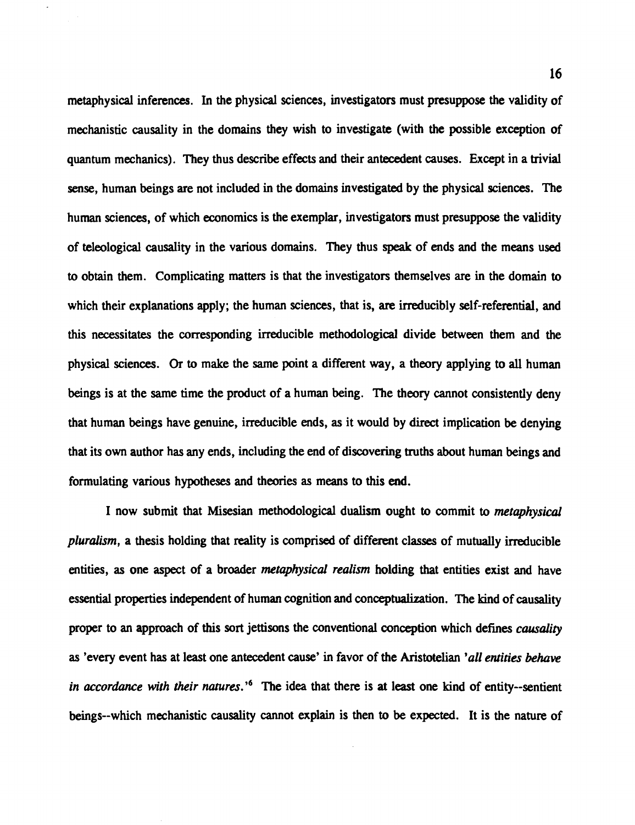metaphysical inferences. In the physical sciences, investigators must presuppose the validity of mechanistic causality in the domains they wish to investigate (with the possible exception of quantum mechanics). They thus describe effects and their antecedent causes. Except in a trivial sense, human beings are not included in the domains investigated by the physical sciences. The human sciences, of which economics is the exemplar, investigators must presuppose the validity of teleological causality in the various domains. They thus **speak** of ends and the means used to obtain them. Complicating matters is that the investigators themselves are in the domain to which their explanations apply; the human sciences, that is, are irreducibly self-referential, and this necessitates the corresponding irreducible methodological divide between them and the physical sciences. Or to make the same point a different way, a theory applying to all human beings is at the same time the product of a human being. The theory cannot consistently deny that human beings have genuine, irreducible ends, as it would by direct implication be denying that its own author has any ends, including the end of discovering truths about human beings and formulating various hypotheses and theories as means to this end.

I now submit that Misesian methodological dualism ought to commit to metaphysical pluralism, a thesis holding that reality is comprised of different classes of mutually irreducible entities, as one aspect of a broader *metaphysical realism* holding that entities exist and have essential properties independent of human cognition and conceptualization. The kind of causality proper to an approach of this sort jettisons the conventional conception which defines *causality* as 'every event has at least one antecedent cause' in favor of the Aristotelian 'all entities behave in accordance with their natures.'<sup> $6$ </sup> The idea that there is at least one kind of entity--sentient beings--which mechanistic causality cannot explain is then to be expected. It is the nature of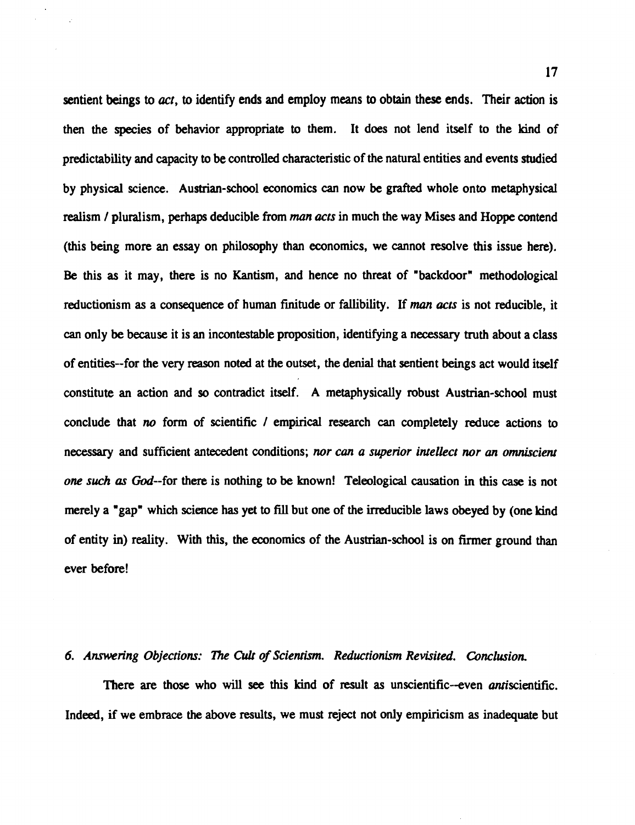**sentient beings to** *act,* **to identify ends and employ means to obtain these ends. Their action is**  then the species of behavior appropriate to them. It does not lend itself to the kind of predictability and capacity to be controlled characteristic of the natural entities and events studied by physical science. Austrian-school economics can now be grafted whole onto metaphysical realism / pluralism, perhaps deducible from *man acts* in much the way Mises and Hoppe contend (this being more an essay on philosophy than economics, we cannot resolve this issue here). Be this as it may, there is no Kantism, and hence no threat of "backdoor" methodological reductionism as a consequence of human finitude or fallibility. If **man** *acts* is not reducible, it can only be because it is an incontestable proposition, identifying a necessary truth about a class of entities--for the very reason noted at the outset, the denial that sentient beings act would itself constitute an action and so contradict itself. A metaphysically robust Austrian-school must conclude that *no* form of scientific / empirical research can completely reduce actions to necessary and sufficient antecedent conditions; *nor can* a *superior intellect nor* **un** *omniscient one such as* God--for there is nothing to be known! Teleological causation in this **case** is not merely a "gap" which science has yet to fill but one of the irreducible laws obeyed by (one kind of entity in) reality. With this, the economics of the Austrian-school is on **her** ground than ever before!

#### *6. Answering Objections: The* **CUl** *of Scientism. Reductionism Revisited. Conclusion.*

There **are** those who will **see** this kind of result as unscientific-even antiscientific. Indeed, if we embrace the above results, we must reject not only empiricism **as** inadequate but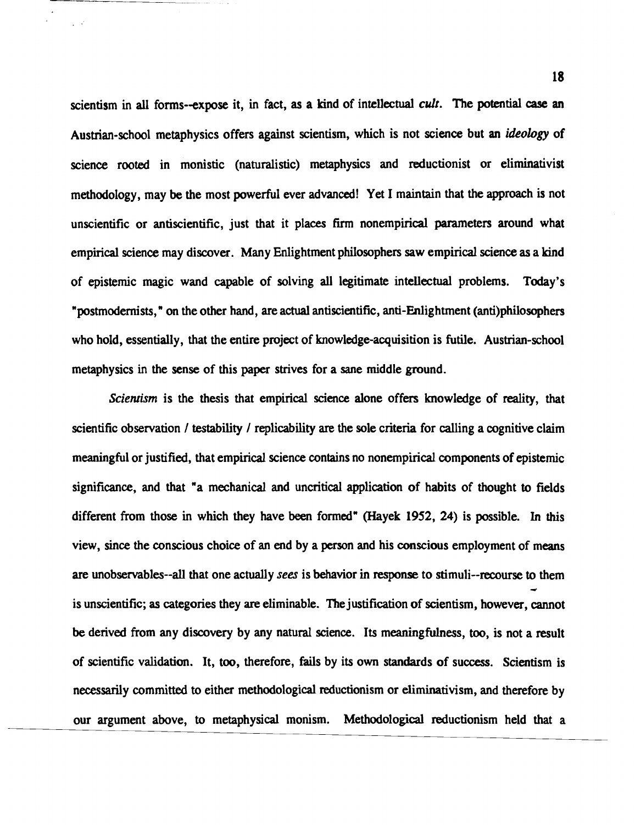scientism in all forms-expose it, in fact, **as** a kind of intellectual cult. The potential **case an**  Austrian-school metaphysics offers against scientism, which is not science but **an** *ideology* of science rooted in monistic (naturalistic) metaphysics and reductionist or eliminativist methodology, may be the most powerful ever advanced! Yet I maintain that the approach is not unscientific or antiscientific, just that it places firm nonempirical parameters around what empirical science may discover. Many Enlightment philosophers **saw** empirical science **as** a kind of epistemic magic wand capable of solving all legitimate intellectual problems. Today's " postmodernists, " on the other hand, are actual antiscientific, anti-Enlightment (anti)philosophers who hold, essentially, that the entire project of knowledge-acquisition is futile. Austrian-school metaphysics in the sense of this paper strives for a sane middle ground.

Scientism is the thesis that empirical science alone offers knowledge of reality, that scientific observation / testability / replicability are the sole criteria for calling a cognitive claim meaningful or justified, that empirical science contains no nonempirical components of epistemic significance, and that "a mechanical and uncritical application of habits of thought to fields different from those in which they have been formed" (Hayek 1952, 24) is possible. In this view, since the conscious choice of an end by a person and his conscious employment of means are unobsemables--all that one actually **sees** is behavior in **response** to stimuli--recourse to them **4**  is unscientific; as categories they are eliminable. The justification of scientism, however, cannot be derived from any discovery by any natural science. Its meaningfulness, too, is not a result of scientific validation. It, too, therefore, fails by its own standards of success. Scientism is necessarily committed to either methodological reductionism or elirninativism, and therefore by our argument above, to metaphysical monism. Methodological reductionism held that a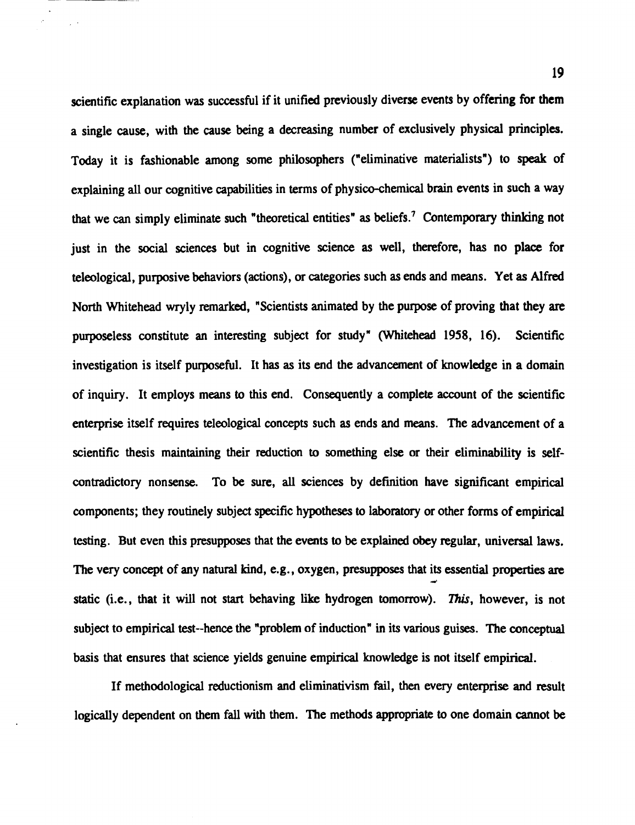scientific explanation was successful if it unified previously diverse events by offering for them a single cause, with the cause being a decreasing number of exclusively physical principles. Today it is fashionable among some philosophers ("eliminative materialists") to speak of explaining **all** our cognitive capabilities in terms of physico-chemical brain events in such a way that we can simply eliminate such "theoretical entities" as beliefs.' Contemporary thinking not just in the social sciences but in cognitive science as well, therefore, has no place for teleological, purposive behaviors (actions), or categories such as ends and means. Yet **as** Alfred North Whitehead wryly remarked, "Scientists animated by the purpose of proving that they are purposeless constitute an interesting subject for study" (Whitehead 1958, 16). Scientific investigation is itself purposeful. It has as its end the advancement of knowledge in a domain of inquiry. It employs means to this end. Consequently a complete account of the scientific enterprise itself requires teleological concepts such as ends and means. The advancement of a scientific thesis maintaining their reduction to something else or their eliminability is selfcontradictory nonsense. To be sure, **all** sciences by definition have significant empirical components; they routinely subject specific hypotheses to laboratory or other forms of empirical testing. But even this presupposes that the events to be explained obey regular, universal laws. The very concept of any natural kind, e.g., oxygen, presupposes that its essential properties **are <sup>4</sup>** static (i.e., that it will not start behaving like hydrogen tomorrow). This, however, is not subject to empirical test--hence the "problem of induction" in its various guises. The conceptual basis that ensures that science yields genuine empirical knowledge is not itself empirical.

 $\mathcal{L}$ 

If methodological reductionism and eliminativism fail, then every enterprise and result logically dependent on them fall with them. The methods appropriate to one domain cannot be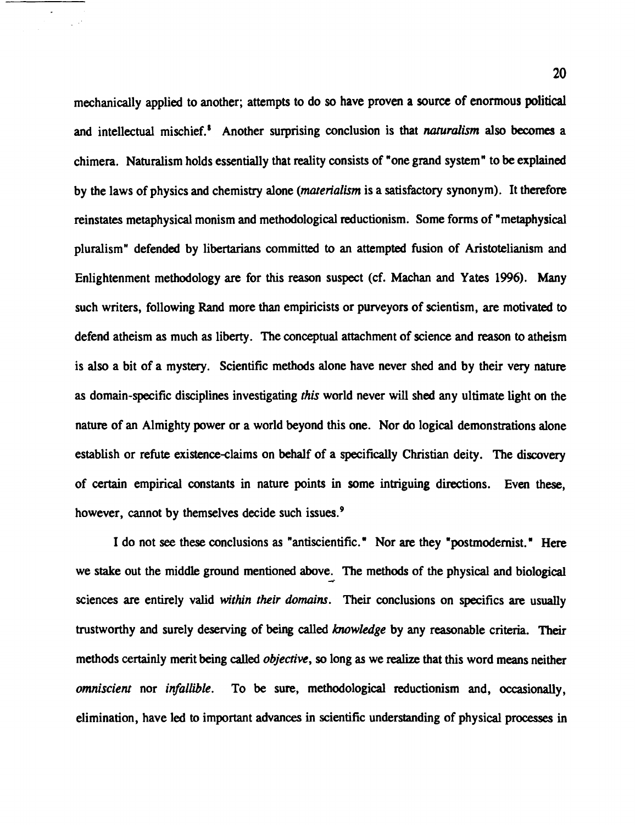mechanically applied to another; attempts to do so have proven a source of enormous political and intellectual mischief.<sup>8</sup> Another surprising conclusion is that *naturalism* also becomes a chimera. Naturalism holds essentially that reality consists of "one grand system" to be explained by the laws of physics and chemistry alone (materialism is a satisfactory synonym). It therefore reinstates metaphysical monism and methodological reductionism. Some forms of "metaphysical pluralism" defended by libertarians committed to an attempted fusion of Aristotelianism and Enlightenment methodology are for this reason suspect (cf. Machan and Yaks 1996). Many such writers, following Rand more than empiricists or purveyors of scientism, are motivated to defend atheism as much **as** liberty. The conceptual attachment of science and reason to atheism is also a bit of a mystery. Scientific methods alone have never shed and by their very nature as domain-specific disciplines investigating this world never will shed any ultimate light on the nature of an Almighty power or a world beyond this one. Nor do logical demonstrations alone establish or refute existence-claims on behalf of a specifically Christian deity. The discovery of certain empirical constants in nature points in some intriguing directions. Even these, however, cannot by themselves decide such issues.<sup>9</sup>

I do not **see** these conclusions **as** "antiscientific." Nor are they "postmodernist." Here we stake out the middle ground mentioned above. The methods of the physical and biological **<sup>4</sup>** sciences are entirely valid within their domains. Their conclusions on specifics are usually trustworthy and surely deserving of being called knowledge by any reasonable criteria. Their methods certainly merit being called objective, so long **as** we realize that this word means neither omniscient nor infallible. To be sure, methodological reductionism and, occasionally, elimination, have led to important advances in scientific understanding of physical processes in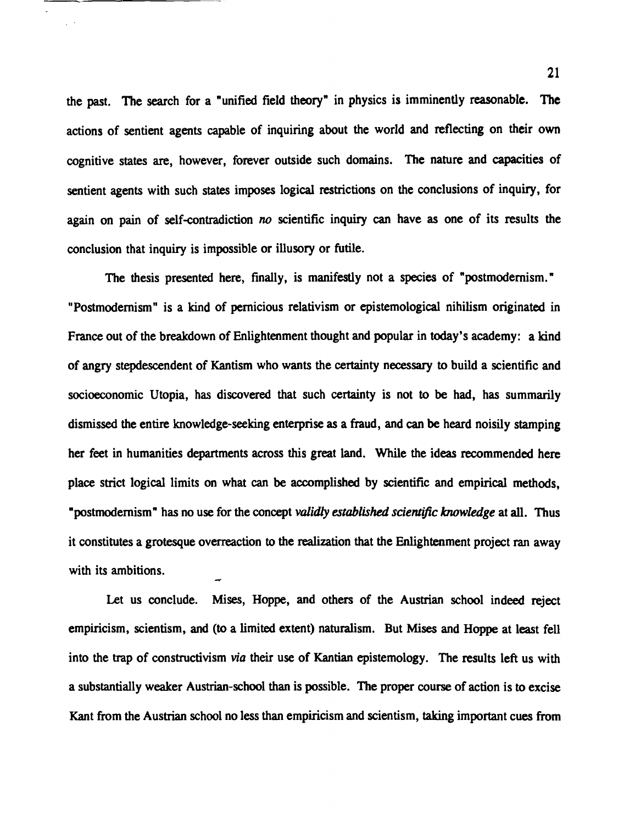the past. The search for a "unified field theory" in physics is imminently reasonable. The actions of sentient agents capable of inquiring about the world and reflecting on their own cognitive states are, however, forever outside such domains. The nature and capacities of sentient agents with such states imposes logical restrictions on the conclusions of inquiry, for again on pain of self-contradiction no scientific inquiry can have as one of its results the conclusion that inquiry is impossible or illusory or futile.

The thesis presented here, finally, is manifestly not a species of "postmodernism." "Postmodernism" is a kind of pernicious relativism or epistemological nihilism originated in **France** out of the breakdown of Enlightenment thought and popular in today's academy: a kind of angry stepdescendent of Kantism who wants the **certainty** necessary to build a scientific and socioeconomic Utopia, has discovered that such **certainty** is not **to** be had, has summarily dismissed the entire knowledge-seeking enterprise as a fraud, and **can** be heard noisily stamping her feet in humanities departments across this great land. While the ideas recommended here place strict logical limits on what can be accomplished by scientific and empirical methods, "postmodernism" has no use for the concept *validly* established *scientific knowledge* at **all.** Thus it constitutes a grotesque overreaction to the realization that the Enlightenment project ran away with its ambitions.

Let us conclude. Mises, Hoppe, and others of the Austrian school indeed reject empiricism, scientism, and **(to** a limited extent) naturalism. But **Mises** and Hoppe at least fell into the trap of constructivism **via** their use of Kantian epistemology. The results left us with a substantially weaker Austrian-school than is possible. The proper course of action is to excise Kant from the Austrian school no less than empiricism and scientism, taking important cues from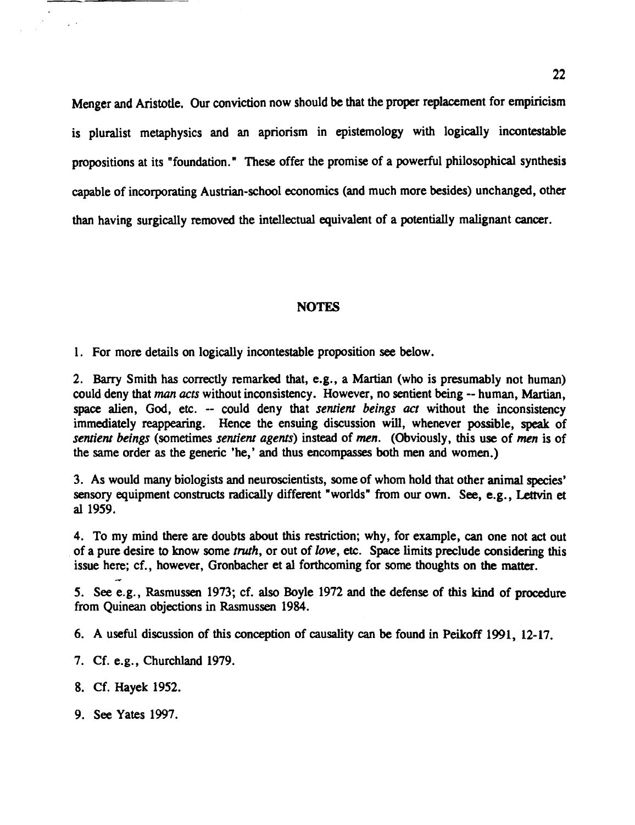Menger and Aristotle. Our conviction now should be that the proper replacement for empiricism is pluralist metaphysics and an apriorism in epistemology with logically incontestable propositions at its "foundation. " These offer the promise of a powerful philosophical synthesis capable of incorporating Austrian-school economics (and much more besides) unchanged, other than having surgically removed the intellectual equivalent of a potentially malignant cancer.

22

#### **NOTES**

1. For more details on logically incontestable proposition **see** below.

2. **Barry** Smith has correctly remarked that, e.g., a Martian (who is presumably not human) could deny that *man acts* without inconsistency. However, no sentient being -- human, Martian, space alien, God, etc. -- could deny that *sentient beings act* without the inconsistency immediately reappearing. Hence the ensuing discussion will, whenever possible, speak of sentiem beings (sometimes sentient agents) instead of **men.** (Obviously, this use of men is of the same order as the generic 'he,' and thus encompasses both men and women.)

3. As would many biologists and neuroscientists, some of whom hold that other animal species' sensory equipment constructs radically different "worlds" from our own. See, e.g., Lettvin et al 1959.

4. To my mind there are doubts about this restriction; why, for example, can one not act out of a pure desire to know some *truth*, or out of *love*, etc. Space limits preclude considering this issue here; cf., however, Gronbacher et **a1** forthcoming for some thoughts on the matter.

5. See e.g., Rasmussen 1973; cf. also Boyle 1972 and the defense of this kind of procedure from Quinean objections in Rasmussen 1984.

6. A useful discussion of this conception of causality can be found in Peikoff 1991, 12-17.

- 7. Cf. e.g., Churchland 1979.
- 8. Cf. Hayek 1952.

**d** 

- 
- 9. See Yates 1997.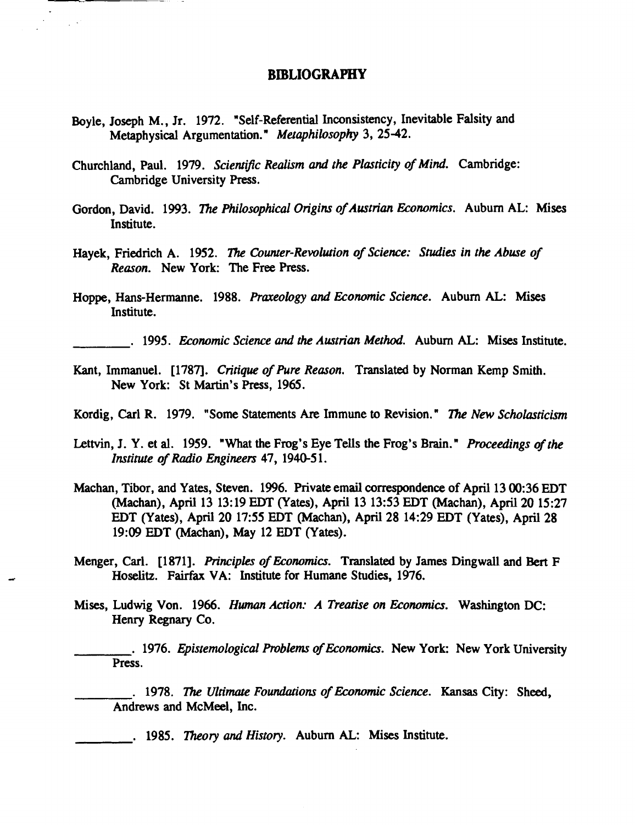## **BIBLIOGRAPHY**

- Boyle, Joseph M., Jr. 1972. "Self-Referential Inconsistency, Inevitable Falsity and Metaphysical Argumentation." *Metaphilosophy* 3, 25-42.
- Churchland, Paul. 1979. *Sciennjk Realism* and *the Plasticity of Mind.* Cambridge: Cambridge University Press.
- Gordon, David. 1993. *The Philosophical Origins of Austrian Economics.* Auburn AL: Mises Institute.
- Hayek, Friedrich A. 1952. *The Counter-Revolution of Science: Studies in the Abuse of Reason.* New York: The Free Press.
- Hoppe, Hans-Hermanne. 1988. *Praxeology* and *Economic Science.* Auburn AL: Mises Institute.
	- . 1995. *Economic Science* and *the Austrian Method.* Auburn AL: Mises Institute.
- Kant, Immanuel. [1787]. *Critique of Pure Reason.* Translated by Norman Kemp Smith. New York: St Martin's Press, 1965.
- Kordig, Carl R. 1979. "Some Statements Are Immune to Revision. " **7k New** *Scholasticism*
- Lettvin, J. Y. et **al.** 1959. "What the Frog's Eye Tells the Frog's Brain. " *Proceedings of the Institute of Radio Engineers 47, 1940-51.*
- Machan, Tibor, and Yates, Steven. 1996. Private email correspondence of April 13 00:36 EDT (Machan), April 13 13: 19 EDT (Yates), April 13 1353 EDT (Machan), April 20 15:27 EDT (Yates), April 20 1755 EDT (Machan), April **28** 14:29 EDT (Yates), April **28**  19:09 EDT (Machan), **May** 12 EDT (Yates).
- Menger, Carl. [1871]. *Principles of Economics.* Translated by James Dingwall and Bert F Hoselitz. **Fairfax** VA: Institute for Humane Studies, 1976.
- **Mises,** Ludwig Von. 1966. **Human** *Action: A Treatise on Economics.* Washington DC: Henry Regnary Co.

. 1976. *Epistemological Problems of Economics*. New York: New York University Press.

. 1978. **7be** *Ultimate Foundations of Economic Science.* **Kansas** City: Sheed, Andrews and McMeel, Inc.

. 1985. *Theory* and *History.* Auburn **AL:** Mises Institute.